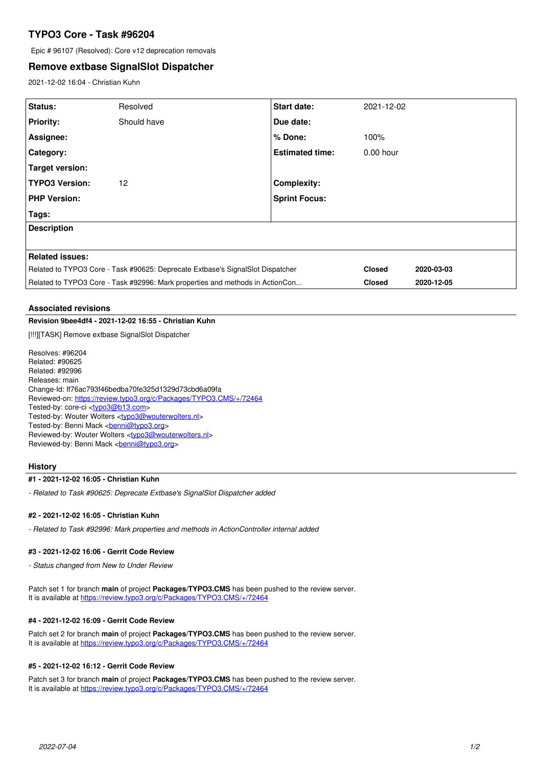# **TYPO3 Core - Task #96204**

Epic # 96107 (Resolved): Core v12 deprecation removals

# **Remove extbase SignalSlot Dispatcher**

2021-12-02 16:04 - Christian Kuhn

| <b>Status:</b>                                                                 | Resolved    | <b>Start date:</b>     | 2021-12-02    |            |
|--------------------------------------------------------------------------------|-------------|------------------------|---------------|------------|
| <b>Priority:</b>                                                               | Should have | Due date:              |               |            |
| Assignee:                                                                      |             | % Done:                | 100%          |            |
| <b>Category:</b>                                                               |             | <b>Estimated time:</b> | $0.00$ hour   |            |
| Target version:                                                                |             |                        |               |            |
| <b>TYPO3 Version:</b>                                                          | 12          | <b>Complexity:</b>     |               |            |
| <b>PHP Version:</b>                                                            |             | <b>Sprint Focus:</b>   |               |            |
| Tags:                                                                          |             |                        |               |            |
| <b>Description</b>                                                             |             |                        |               |            |
|                                                                                |             |                        |               |            |
| Related issues:                                                                |             |                        |               |            |
| Related to TYPO3 Core - Task #90625: Deprecate Extbase's SignalSlot Dispatcher |             |                        | <b>Closed</b> | 2020-03-03 |
| Related to TYPO3 Core - Task #92996: Mark properties and methods in ActionCon  |             |                        | <b>Closed</b> | 2020-12-05 |

#### **Associated revisions**

# **Revision 9bee4df4 - 2021-12-02 16:55 - Christian Kuhn**

[!!!][TASK] Remove extbase SignalSlot Dispatcher

Resolves: #96204 Related: #90625 Related: #92996 Releases: main Change-Id: If76ac793f46bedba70fe325d1329d73cbd6a09fa Reviewed-on:<https://review.typo3.org/c/Packages/TYPO3.CMS/+/72464> Tested-by: core-ci [<typo3@b13.com](mailto:typo3@b13.com)> Tested-by: Wouter Wolters [<typo3@wouterwolters.nl>](mailto:typo3@wouterwolters.nl) Tested-by: Benni Mack <br /> **[benni@typo3.org>](mailto:benni@typo3.org)** Reviewed-by: Wouter Wolters <[typo3@wouterwolters.nl](mailto:typo3@wouterwolters.nl)> Reviewed-by: Benni Mack <br />
conni<br />  $\mathcal{Q}$ 

## **History**

### **#1 - 2021-12-02 16:05 - Christian Kuhn**

*- Related to Task #90625: Deprecate Extbase's SignalSlot Dispatcher added*

#### **#2 - 2021-12-02 16:05 - Christian Kuhn**

*- Related to Task #92996: Mark properties and methods in ActionController internal added*

# **#3 - 2021-12-02 16:06 - Gerrit Code Review**

*- Status changed from New to Under Review*

Patch set 1 for branch **main** of project **Packages/TYPO3.CMS** has been pushed to the review server. It is available at <https://review.typo3.org/c/Packages/TYPO3.CMS/+/72464>

#### **#4 - 2021-12-02 16:09 - Gerrit Code Review**

Patch set 2 for branch **main** of project **Packages/TYPO3.CMS** has been pushed to the review server. It is available at <https://review.typo3.org/c/Packages/TYPO3.CMS/+/72464>

#### **#5 - 2021-12-02 16:12 - Gerrit Code Review**

Patch set 3 for branch **main** of project **Packages/TYPO3.CMS** has been pushed to the review server. It is available at <https://review.typo3.org/c/Packages/TYPO3.CMS/+/72464>